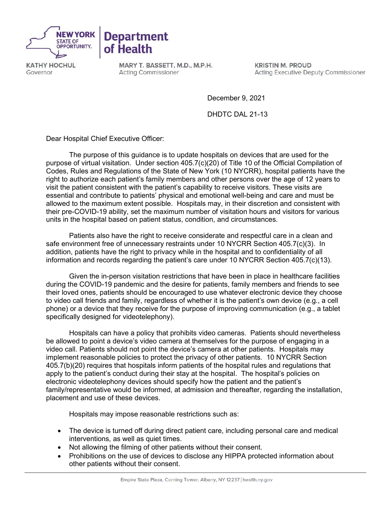

**KATHY HOCHUL** Governor

MARY T. BASSETT, M.D., M.P.H. **Acting Commissioner** 

**KRISTIN M. PROUD Acting Executive Deputy Commissioner** 

December 9, 2021

DHDTC DAL 21-13

Dear Hospital Chief Executive Officer:

The purpose of this guidance is to update hospitals on devices that are used for the purpose of virtual visitation. Under section 405.7(c)(20) of Title 10 of the Official Compilation of Codes, Rules and Regulations of the State of New York (10 NYCRR), hospital patients have the right to authorize each patient's family members and other persons over the age of 12 years to visit the patient consistent with the patient's capability to receive visitors. These visits are essential and contribute to patients' physical and emotional well-being and care and must be allowed to the maximum extent possible. Hospitals may, in their discretion and consistent with their pre-COVID-19 ability, set the maximum number of visitation hours and visitors for various units in the hospital based on patient status, condition, and circumstances.

Patients also have the right to receive considerate and respectful care in a clean and safe environment free of unnecessary restraints under 10 NYCRR Section 405.7(c)(3). In addition, patients have the right to privacy while in the hospital and to confidentiality of all information and records regarding the patient's care under 10 NYCRR Section 405.7(c)(13).

Given the in-person visitation restrictions that have been in place in healthcare facilities during the COVID-19 pandemic and the desire for patients, family members and friends to see their loved ones, patients should be encouraged to use whatever electronic device they choose to video call friends and family, regardless of whether it is the patient's own device (e.g., a cell phone) or a device that they receive for the purpose of improving communication (e.g., a tablet specifically designed for videotelephony).

Hospitals can have a policy that prohibits video cameras. Patients should nevertheless be allowed to point a device's video camera at themselves for the purpose of engaging in a video call. Patients should not point the device's camera at other patients. Hospitals may implement reasonable policies to protect the privacy of other patients. 10 NYCRR Section 405.7(b)(20) requires that hospitals inform patients of the hospital rules and regulations that apply to the patient's conduct during their stay at the hospital. The hospital's policies on electronic videotelephony devices should specify how the patient and the patient's family/representative would be informed, at admission and thereafter, regarding the installation, placement and use of these devices.

Hospitals may impose reasonable restrictions such as:

- The device is turned off during direct patient care, including personal care and medical interventions, as well as quiet times.
- Not allowing the filming of other patients without their consent.
- Prohibitions on the use of devices to disclose any HIPPA protected information about other patients without their consent.